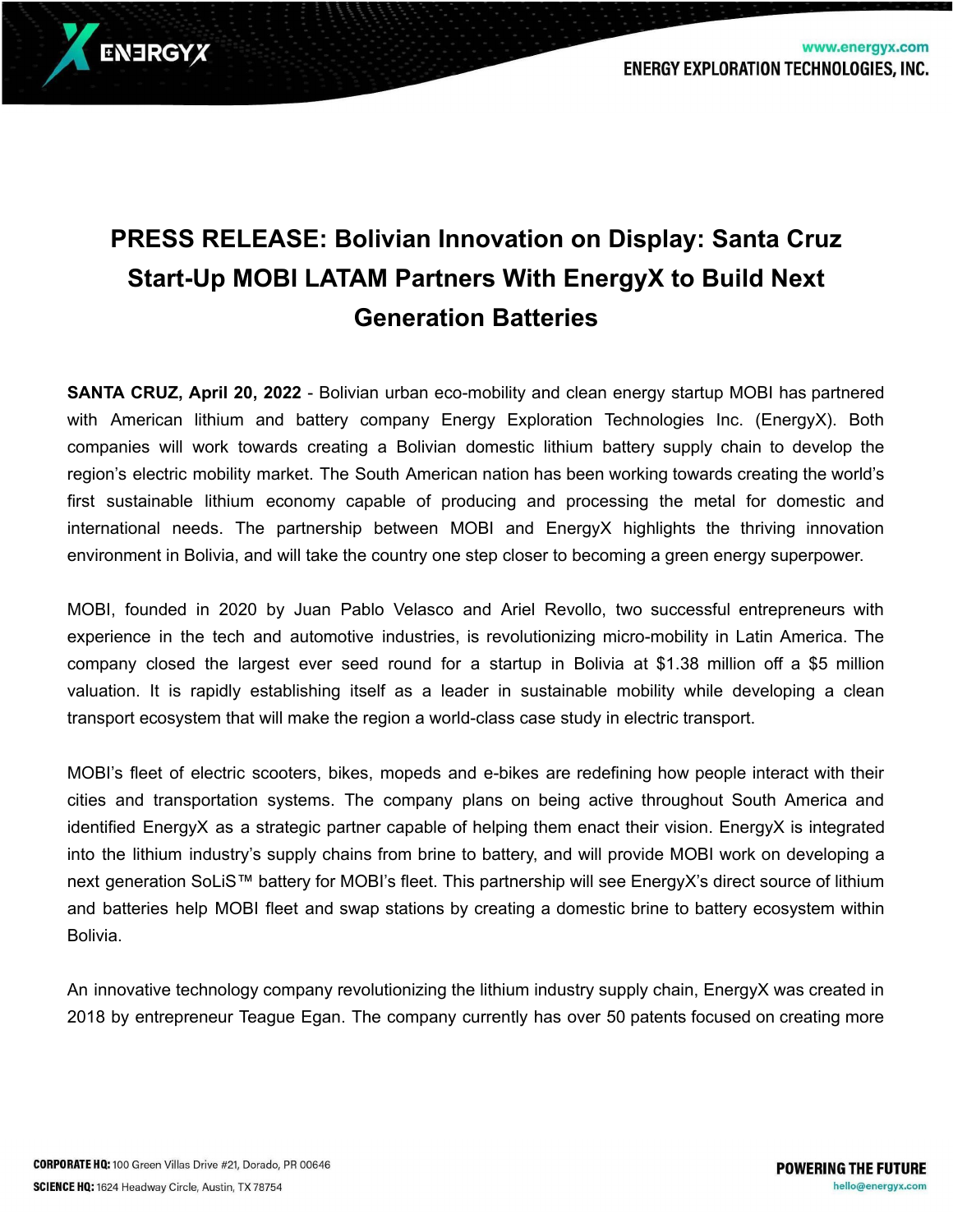

## **PRESS RELEASE: Bolivian Innovation on Display: Santa Cruz Start-Up MOBI LATAM Partners With EnergyX to Build Next Generation Batteries**

**SANTA CRUZ, April 20, 2022** - Bolivian urban eco-mobility and clean energy startup MOBI has partnered with American lithium and battery company Energy Exploration Technologies Inc. (EnergyX). Both companies will work towards creating a Bolivian domestic lithium battery supply chain to develop the region's electric mobility market. The South American nation has been working towards creating the world's first sustainable lithium economy capable of producing and processing the metal for domestic and international needs. The partnership between MOBI and EnergyX highlights the thriving innovation environment in Bolivia, and will take the country one step closer to becoming a green energy superpower.

MOBI, founded in 2020 by Juan Pablo Velasco and Ariel Revollo, two successful entrepreneurs with experience in the tech and automotive industries, is revolutionizing micro-mobility in Latin America. The company closed the largest ever seed round for a startup in Bolivia at \$1.38 million off a \$5 million valuation. It is rapidly establishing itself as a leader in sustainable mobility while developing a clean transport ecosystem that will make the region a world-class case study in electric transport.

MOBI's fleet of electric scooters, bikes, mopeds and e-bikes are redefining how people interact with their cities and transportation systems. The company plans on being active throughout South America and identified EnergyX as a strategic partner capable of helping them enact their vision. EnergyX is integrated into the lithium industry's supply chains from brine to battery, and will provide MOBI work on developing a next generation SoLiS™ battery for MOBI's fleet. This partnership will see EnergyX's direct source of lithium and batteries help MOBI fleet and swap stations by creating a domestic brine to battery ecosystem within Bolivia.

An innovative technology company revolutionizing the lithium industry supply chain, EnergyX was created in 2018 by entrepreneur Teague Egan. The company currently has over 50 patents focused on creating more